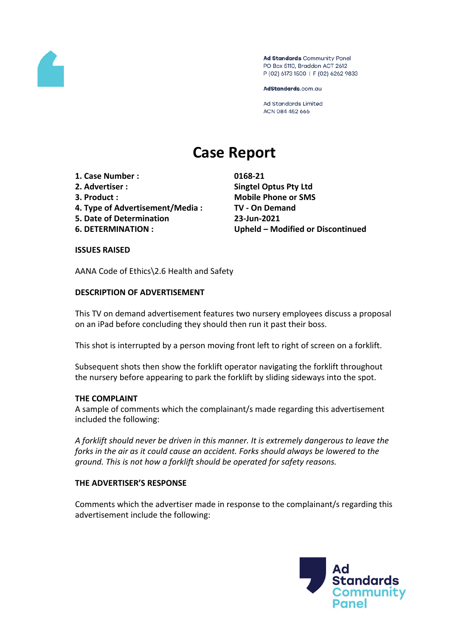

Ad Standards Community Panel PO Box 5110, Braddon ACT 2612 P (02) 6173 1500 | F (02) 6262 9833

AdStandards.com.au

**Ad Standards Limited** ACN 084 452 666

# **Case Report**

- **1. Case Number : 0168-21**
- 
- 
- **4. Type of Advertisement/Media : TV - On Demand**
- **5. Date of Determination 23-Jun-2021**
- 

**2. Advertiser : Singtel Optus Pty Ltd 3. Product : Mobile Phone or SMS 6. DETERMINATION : Upheld – Modified or Discontinued**

### **ISSUES RAISED**

AANA Code of Ethics\2.6 Health and Safety

# **DESCRIPTION OF ADVERTISEMENT**

This TV on demand advertisement features two nursery employees discuss a proposal on an iPad before concluding they should then run it past their boss.

This shot is interrupted by a person moving front left to right of screen on a forklift.

Subsequent shots then show the forklift operator navigating the forklift throughout the nursery before appearing to park the forklift by sliding sideways into the spot.

### **THE COMPLAINT**

A sample of comments which the complainant/s made regarding this advertisement included the following:

*A forklift should never be driven in this manner. It is extremely dangerous to leave the forks in the air as it could cause an accident. Forks should always be lowered to the ground. This is not how a forklift should be operated for safety reasons.*

### **THE ADVERTISER'S RESPONSE**

Comments which the advertiser made in response to the complainant/s regarding this advertisement include the following:

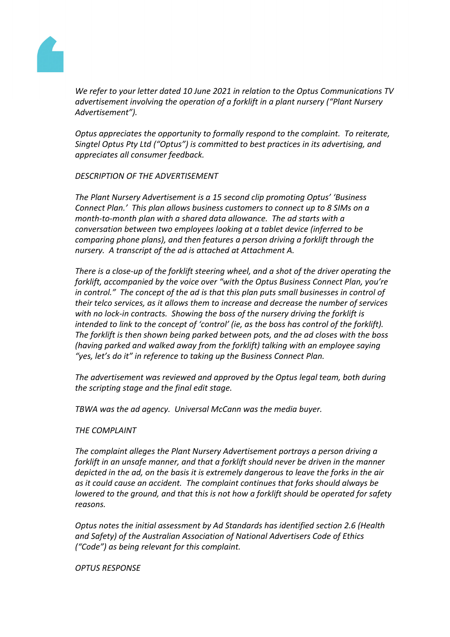

*We refer to your letter dated 10 June 2021 in relation to the Optus Communications TV advertisement involving the operation of a forklift in a plant nursery ("Plant Nursery Advertisement").* 

*Optus appreciates the opportunity to formally respond to the complaint. To reiterate, Singtel Optus Pty Ltd ("Optus") is committed to best practices in its advertising, and appreciates all consumer feedback.*

### *DESCRIPTION OF THE ADVERTISEMENT*

*The Plant Nursery Advertisement is a 15 second clip promoting Optus' 'Business Connect Plan.' This plan allows business customers to connect up to 8 SIMs on a month-to-month plan with a shared data allowance. The ad starts with a conversation between two employees looking at a tablet device (inferred to be comparing phone plans), and then features a person driving a forklift through the nursery. A transcript of the ad is attached at Attachment A.*

*There is a close-up of the forklift steering wheel, and a shot of the driver operating the forklift, accompanied by the voice over "with the Optus Business Connect Plan, you're in control." The concept of the ad is that this plan puts small businesses in control of their telco services, as it allows them to increase and decrease the number of services with no lock-in contracts. Showing the boss of the nursery driving the forklift is intended to link to the concept of 'control' (ie, as the boss has control of the forklift). The forklift is then shown being parked between pots, and the ad closes with the boss (having parked and walked away from the forklift) talking with an employee saying "yes, let's do it" in reference to taking up the Business Connect Plan.*

*The advertisement was reviewed and approved by the Optus legal team, both during the scripting stage and the final edit stage.*

*TBWA was the ad agency. Universal McCann was the media buyer.*

### *THE COMPLAINT*

*The complaint alleges the Plant Nursery Advertisement portrays a person driving a forklift in an unsafe manner, and that a forklift should never be driven in the manner depicted in the ad, on the basis it is extremely dangerous to leave the forks in the air as it could cause an accident. The complaint continues that forks should always be lowered to the ground, and that this is not how a forklift should be operated for safety reasons.*

*Optus notes the initial assessment by Ad Standards has identified section 2.6 (Health and Safety) of the Australian Association of National Advertisers Code of Ethics ("Code") as being relevant for this complaint.* 

*OPTUS RESPONSE*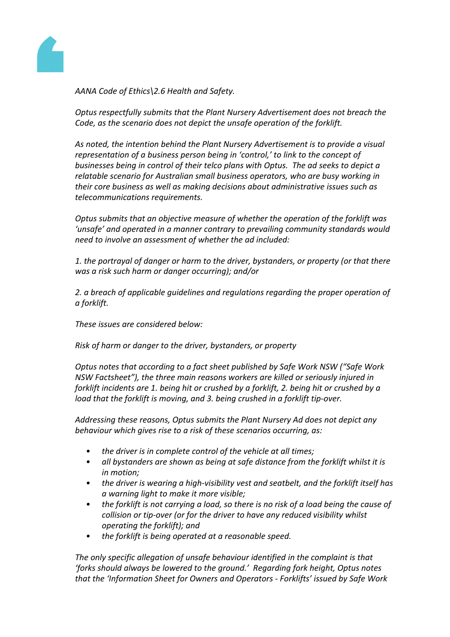

*AANA Code of Ethics\2.6 Health and Safety.*

*Optus respectfully submits that the Plant Nursery Advertisement does not breach the Code, as the scenario does not depict the unsafe operation of the forklift.*

*As noted, the intention behind the Plant Nursery Advertisement is to provide a visual representation of a business person being in 'control,' to link to the concept of businesses being in control of their telco plans with Optus. The ad seeks to depict a relatable scenario for Australian small business operators, who are busy working in their core business as well as making decisions about administrative issues such as telecommunications requirements.*

*Optus submits that an objective measure of whether the operation of the forklift was 'unsafe' and operated in a manner contrary to prevailing community standards would need to involve an assessment of whether the ad included:*

*1. the portrayal of danger or harm to the driver, bystanders, or property (or that there was a risk such harm or danger occurring); and/or*

*2. a breach of applicable guidelines and regulations regarding the proper operation of a forklift.*

*These issues are considered below:*

*Risk of harm or danger to the driver, bystanders, or property*

*Optus notes that according to a fact sheet published by Safe Work NSW ("Safe Work NSW Factsheet"), the three main reasons workers are killed or seriously injured in forklift incidents are 1. being hit or crushed by a forklift, 2. being hit or crushed by a load that the forklift is moving, and 3. being crushed in a forklift tip-over.*

*Addressing these reasons, Optus submits the Plant Nursery Ad does not depict any behaviour which gives rise to a risk of these scenarios occurring, as:*

- *• the driver is in complete control of the vehicle at all times;*
- *• all bystanders are shown as being at safe distance from the forklift whilst it is in motion;*
- *• the driver is wearing a high-visibility vest and seatbelt, and the forklift itself has a warning light to make it more visible;*
- the forklift is not carrying a load, so there is no risk of a load being the cause of *collision or tip-over (or for the driver to have any reduced visibility whilst operating the forklift); and*
- *• the forklift is being operated at a reasonable speed.*

*The only specific allegation of unsafe behaviour identified in the complaint is that 'forks should always be lowered to the ground.' Regarding fork height, Optus notes that the 'Information Sheet for Owners and Operators - Forklifts' issued by Safe Work*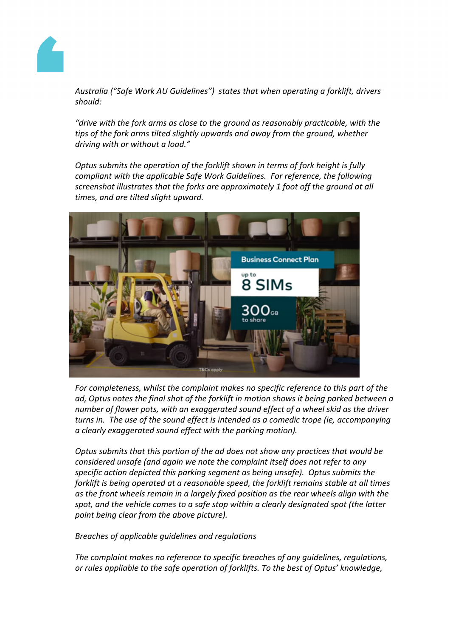

*Australia ("Safe Work AU Guidelines") states that when operating a forklift, drivers should:*

*"drive with the fork arms as close to the ground as reasonably practicable, with the tips of the fork arms tilted slightly upwards and away from the ground, whether driving with or without a load."*

*Optus submits the operation of the forklift shown in terms of fork height is fully compliant with the applicable Safe Work Guidelines. For reference, the following screenshot illustrates that the forks are approximately 1 foot off the ground at all times, and are tilted slight upward.*



*For completeness, whilst the complaint makes no specific reference to this part of the ad, Optus notes the final shot of the forklift in motion shows it being parked between a number of flower pots, with an exaggerated sound effect of a wheel skid as the driver turns in. The use of the sound effect is intended as a comedic trope (ie, accompanying a clearly exaggerated sound effect with the parking motion).* 

*Optus submits that this portion of the ad does not show any practices that would be considered unsafe (and again we note the complaint itself does not refer to any specific action depicted this parking segment as being unsafe). Optus submits the forklift is being operated at a reasonable speed, the forklift remains stable at all times as the front wheels remain in a largely fixed position as the rear wheels align with the spot, and the vehicle comes to a safe stop within a clearly designated spot (the latter point being clear from the above picture).* 

*Breaches of applicable guidelines and regulations*

*The complaint makes no reference to specific breaches of any guidelines, regulations, or rules appliable to the safe operation of forklifts. To the best of Optus' knowledge,*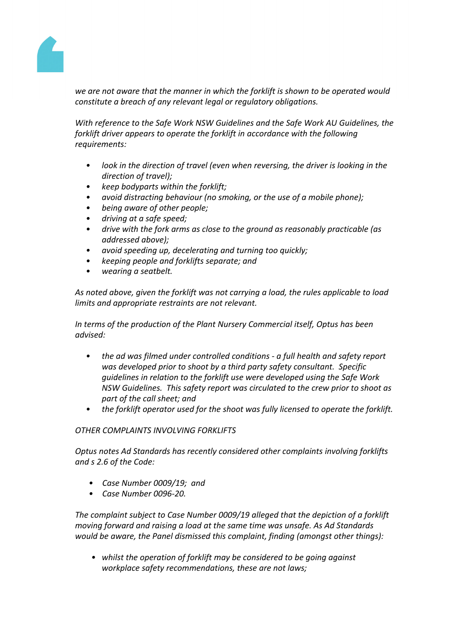

*we are not aware that the manner in which the forklift is shown to be operated would constitute a breach of any relevant legal or regulatory obligations.* 

*With reference to the Safe Work NSW Guidelines and the Safe Work AU Guidelines, the forklift driver appears to operate the forklift in accordance with the following requirements:*

- *• look in the direction of travel (even when reversing, the driver is looking in the direction of travel);*
- *• keep bodyparts within the forklift;*
- *• avoid distracting behaviour (no smoking, or the use of a mobile phone);*
- *• being aware of other people;*
- *• driving at a safe speed;*
- *• drive with the fork arms as close to the ground as reasonably practicable (as addressed above);*
- *• avoid speeding up, decelerating and turning too quickly;*
- *• keeping people and forklifts separate; and*
- *• wearing a seatbelt.*

*As noted above, given the forklift was not carrying a load, the rules applicable to load limits and appropriate restraints are not relevant.*

*In terms of the production of the Plant Nursery Commercial itself, Optus has been advised:*

- *• the ad was filmed under controlled conditions - a full health and safety report was developed prior to shoot by a third party safety consultant. Specific guidelines in relation to the forklift use were developed using the Safe Work NSW Guidelines. This safety report was circulated to the crew prior to shoot as part of the call sheet; and*
- *• the forklift operator used for the shoot was fully licensed to operate the forklift.*

### *OTHER COMPLAINTS INVOLVING FORKLIFTS*

*Optus notes Ad Standards has recently considered other complaints involving forklifts and s 2.6 of the Code:*

- *• Case Number 0009/19; and*
- *• Case Number 0096-20.*

*The complaint subject to Case Number 0009/19 alleged that the depiction of a forklift moving forward and raising a load at the same time was unsafe. As Ad Standards would be aware, the Panel dismissed this complaint, finding (amongst other things):*

*• whilst the operation of forklift may be considered to be going against workplace safety recommendations, these are not laws;*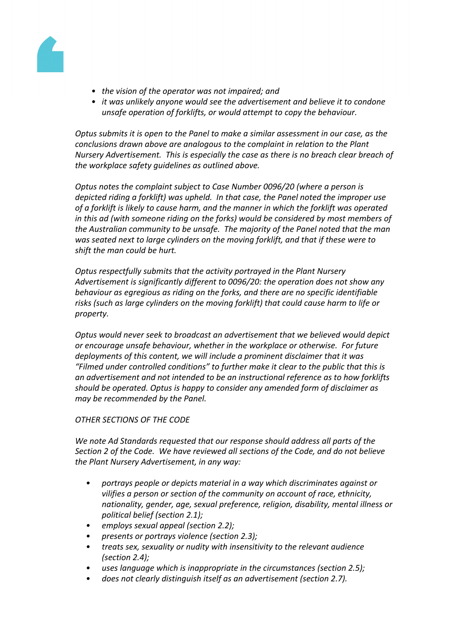

- *• the vision of the operator was not impaired; and*
- *• it was unlikely anyone would see the advertisement and believe it to condone unsafe operation of forklifts, or would attempt to copy the behaviour.*

*Optus submits it is open to the Panel to make a similar assessment in our case, as the conclusions drawn above are analogous to the complaint in relation to the Plant Nursery Advertisement. This is especially the case as there is no breach clear breach of the workplace safety guidelines as outlined above.* 

*Optus notes the complaint subject to Case Number 0096/20 (where a person is depicted riding a forklift) was upheld. In that case, the Panel noted the improper use of a forklift is likely to cause harm, and the manner in which the forklift was operated in this ad (with someone riding on the forks) would be considered by most members of the Australian community to be unsafe. The majority of the Panel noted that the man was seated next to large cylinders on the moving forklift, and that if these were to shift the man could be hurt.*

*Optus respectfully submits that the activity portrayed in the Plant Nursery Advertisement is significantly different to 0096/20: the operation does not show any behaviour as egregious as riding on the forks, and there are no specific identifiable risks (such as large cylinders on the moving forklift) that could cause harm to life or property.* 

*Optus would never seek to broadcast an advertisement that we believed would depict or encourage unsafe behaviour, whether in the workplace or otherwise. For future deployments of this content, we will include a prominent disclaimer that it was "Filmed under controlled conditions" to further make it clear to the public that this is an advertisement and not intended to be an instructional reference as to how forklifts should be operated. Optus is happy to consider any amended form of disclaimer as may be recommended by the Panel.*

### *OTHER SECTIONS OF THE CODE*

*We note Ad Standards requested that our response should address all parts of the Section 2 of the Code. We have reviewed all sections of the Code, and do not believe the Plant Nursery Advertisement, in any way:*

- *• portrays people or depicts material in a way which discriminates against or vilifies a person or section of the community on account of race, ethnicity, nationality, gender, age, sexual preference, religion, disability, mental illness or political belief (section 2.1);*
- *• employs sexual appeal (section 2.2);*
- *• presents or portrays violence (section 2.3);*
- *• treats sex, sexuality or nudity with insensitivity to the relevant audience (section 2.4);*
- *• uses language which is inappropriate in the circumstances (section 2.5);*
- *• does not clearly distinguish itself as an advertisement (section 2.7).*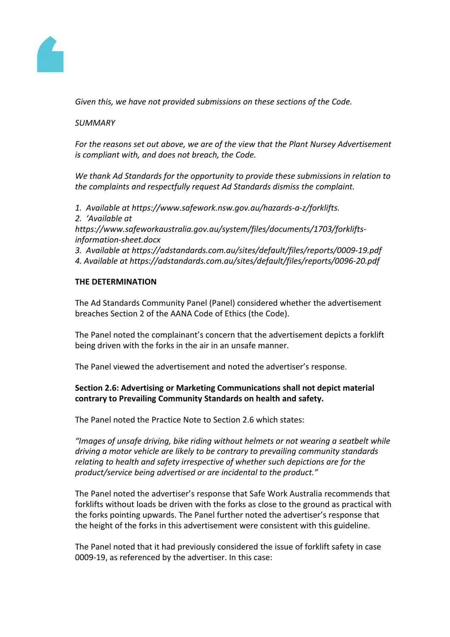

*Given this, we have not provided submissions on these sections of the Code.* 

## *SUMMARY*

*For the reasons set out above, we are of the view that the Plant Nursey Advertisement is compliant with, and does not breach, the Code.*

*We thank Ad Standards for the opportunity to provide these submissions in relation to the complaints and respectfully request Ad Standards dismiss the complaint.*

*1. Available at https://www.safework.nsw.gov.au/hazards-a-z/forklifts.*

*2. 'Available at* 

*https://www.safeworkaustralia.gov.au/system/files/documents/1703/forkliftsinformation-sheet.docx*

*3. Available at https://adstandards.com.au/sites/default/files/reports/0009-19.pdf*

*4. Available at https://adstandards.com.au/sites/default/files/reports/0096-20.pdf*

# **THE DETERMINATION**

The Ad Standards Community Panel (Panel) considered whether the advertisement breaches Section 2 of the AANA Code of Ethics (the Code).

The Panel noted the complainant's concern that the advertisement depicts a forklift being driven with the forks in the air in an unsafe manner.

The Panel viewed the advertisement and noted the advertiser's response.

# **Section 2.6: Advertising or Marketing Communications shall not depict material contrary to Prevailing Community Standards on health and safety.**

The Panel noted the Practice Note to Section 2.6 which states:

*"Images of unsafe driving, bike riding without helmets or not wearing a seatbelt while driving a motor vehicle are likely to be contrary to prevailing community standards relating to health and safety irrespective of whether such depictions are for the product/service being advertised or are incidental to the product."*

The Panel noted the advertiser's response that Safe Work Australia recommends that forklifts without loads be driven with the forks as close to the ground as practical with the forks pointing upwards. The Panel further noted the advertiser's response that the height of the forks in this advertisement were consistent with this guideline.

The Panel noted that it had previously considered the issue of forklift safety in case 0009-19, as referenced by the advertiser. In this case: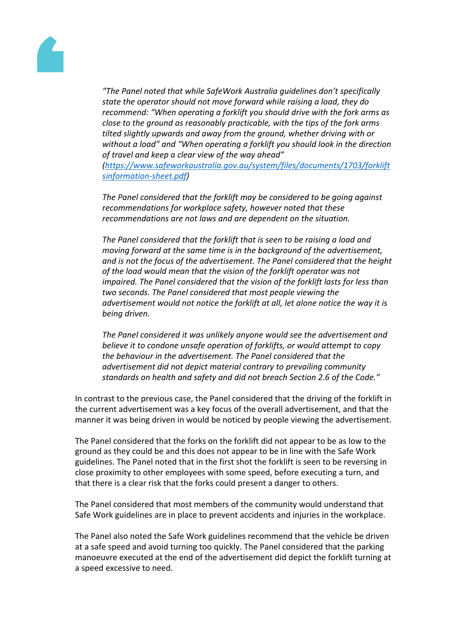"The Panel noted that thile SafeWorkAustraliaguidelines don's pecifically statethe operatorshouldnot move forward whileraising aload, they do recommend: "When operating a forklift you shoul to with the fork arms as close to thegroundasreasonablypracticable, withthe tips ofthe fork arms tilted slightly upward away from the ground, whether driving with or without a load" and When operating a forklift youshould look in the direction of travel andkeep aclearview ofthe way ahead" [\(https://www.safeworkaustralia.gov.au/system/files/documents/1703/fork](https://www.safeworkaustralia.gov.au/system/files/documents/1703/forkliftsinformation-sheet.pdf)lift [sinformation-sheet.pd](https://www.safeworkaustralia.gov.au/system/files/documents/1703/forkliftsinformation-sheet.pdf)f)

ThePanelconsideredhat the forklift may be considered be going against recommendationsfor workplacesafety, however noted thathese recommendationsare not lawsand are dependent the situation.

ThePanelconsideredhat the forklift that isseen toberaising aload and movingforward at the same time is the background of the advertisement. and isnot the focus ofhe advertisement. The Paned insidered thathe height of theload wouldmeanthat the visionof the forklift operator wasnot impaired. The Panel considered that the ion of the forklift lasts for lesshan two secondsThePanelconsidered thatmost people viewinghe advertisement would not noticule forklift at all, let alone noticule way it is beingdriven.

ThePanelconsideredit was unlikelyanyonewouldseetheadvertisementand believeit to condone unsafe operation forklifts, or would attempto copy the behaviour inthe advertisement. The Panel consideret that the advertisement did not depict material contraryprevailing community standards on healthand safety and dighot breach Section 2.6 of the Code."

In contrast to theprevious case the Panel considered that he driving of the forklift in the current advertisement was a keycus of the overalladvertisement and thatthe manner it was being drivein would benoticed by peopleviewing theadvertisement.

ThePanel considered that the forks die forklift did not appearto be aslow to the groundasthey couldbe and this doesot appearto be in linewith the Safe Work  $quidelines.$  The Panel noted thath the first shot the forkliftis seen to be reversing closeproximity to other employees with some speed, before ecuting aturn, and that there is a clearriskthat the forks could present a dangeo others.

ThePanel considered that most members the community would understand that Safe Work guidelines in place to prevent accidents dinjuries in the work place.

ThePanel also noted th<sup>es</sup>afe Work guidelines recommend that vehiclebe driven at a safe speed and avoid ring too quickly. The Panel consider at at the parking manoeuvreexecuted athe end of the advertisemendid depictthe forklift turning at a speedexcessive to need.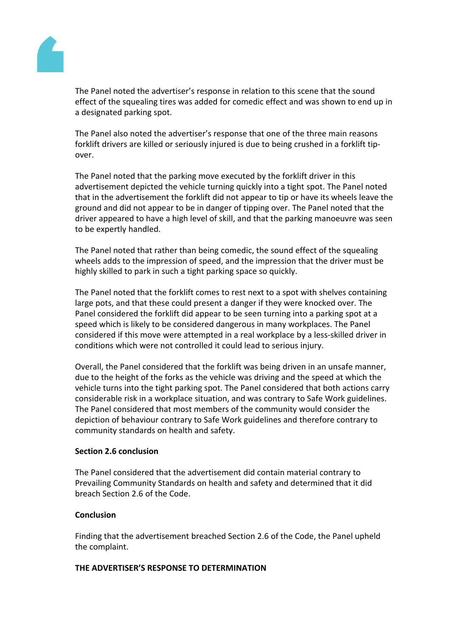

The Panel noted the advertiser's response in relation to this scene that the sound effect of the squealing tires was added for comedic effect and was shown to end up in a designated parking spot.

The Panel also noted the advertiser's response that one of the three main reasons forklift drivers are killed or seriously injured is due to being crushed in a forklift tipover.

The Panel noted that the parking move executed by the forklift driver in this advertisement depicted the vehicle turning quickly into a tight spot. The Panel noted that in the advertisement the forklift did not appear to tip or have its wheels leave the ground and did not appear to be in danger of tipping over. The Panel noted that the driver appeared to have a high level of skill, and that the parking manoeuvre was seen to be expertly handled.

The Panel noted that rather than being comedic, the sound effect of the squealing wheels adds to the impression of speed, and the impression that the driver must be highly skilled to park in such a tight parking space so quickly.

The Panel noted that the forklift comes to rest next to a spot with shelves containing large pots, and that these could present a danger if they were knocked over. The Panel considered the forklift did appear to be seen turning into a parking spot at a speed which is likely to be considered dangerous in many workplaces. The Panel considered if this move were attempted in a real workplace by a less-skilled driver in conditions which were not controlled it could lead to serious injury.

Overall, the Panel considered that the forklift was being driven in an unsafe manner, due to the height of the forks as the vehicle was driving and the speed at which the vehicle turns into the tight parking spot. The Panel considered that both actions carry considerable risk in a workplace situation, and was contrary to Safe Work guidelines. The Panel considered that most members of the community would consider the depiction of behaviour contrary to Safe Work guidelines and therefore contrary to community standards on health and safety.

### **Section 2.6 conclusion**

The Panel considered that the advertisement did contain material contrary to Prevailing Community Standards on health and safety and determined that it did breach Section 2.6 of the Code.

#### **Conclusion**

Finding that the advertisement breached Section 2.6 of the Code, the Panel upheld the complaint.

#### **THE ADVERTISER'S RESPONSE TO DETERMINATION**